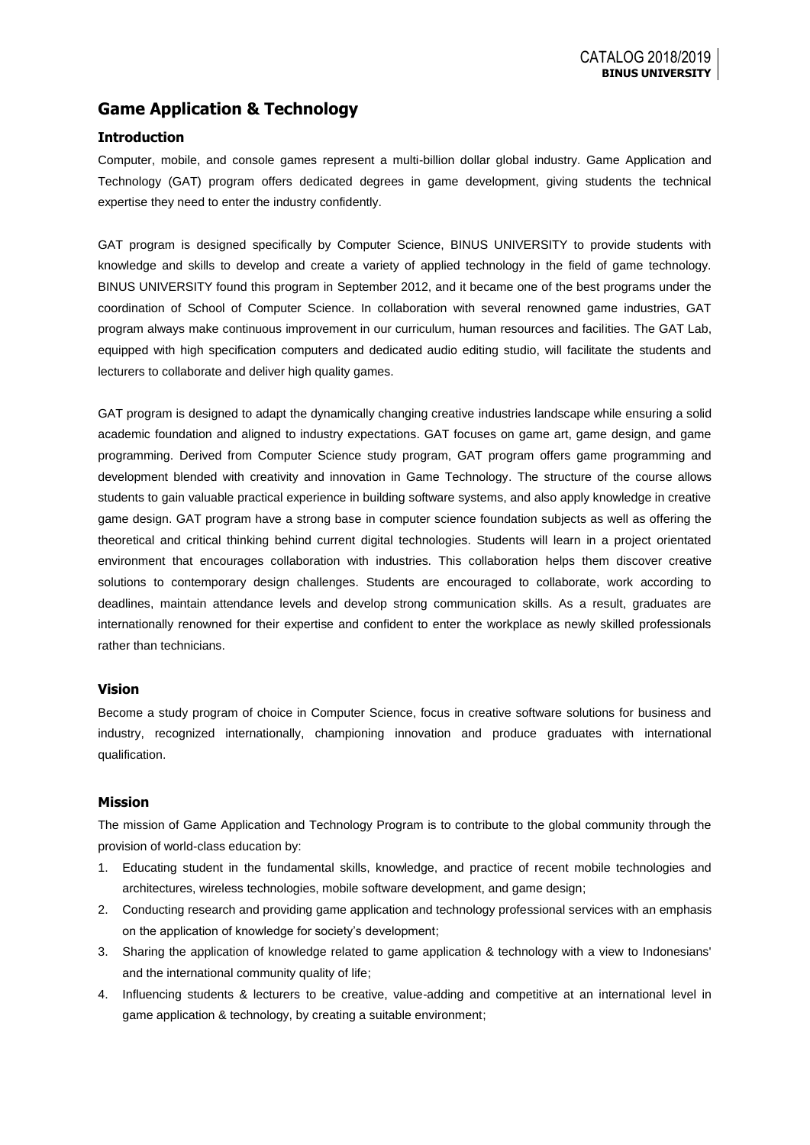# **Game Application & Technology**

## **Introduction**

Computer, mobile, and console games represent a multi-billion dollar global industry. Game Application and Technology (GAT) program offers dedicated degrees in game development, giving students the technical expertise they need to enter the industry confidently.

GAT program is designed specifically by Computer Science, BINUS UNIVERSITY to provide students with knowledge and skills to develop and create a variety of applied technology in the field of game technology. BINUS UNIVERSITY found this program in September 2012, and it became one of the best programs under the coordination of School of Computer Science. In collaboration with several renowned game industries, GAT program always make continuous improvement in our curriculum, human resources and facilities. The GAT Lab, equipped with high specification computers and dedicated audio editing studio, will facilitate the students and lecturers to collaborate and deliver high quality games.

GAT program is designed to adapt the dynamically changing creative industries landscape while ensuring a solid academic foundation and aligned to industry expectations. GAT focuses on game art, game design, and game programming. Derived from Computer Science study program, GAT program offers game programming and development blended with creativity and innovation in Game Technology. The structure of the course allows students to gain valuable practical experience in building software systems, and also apply knowledge in creative game design. GAT program have a strong base in computer science foundation subjects as well as offering the theoretical and critical thinking behind current digital technologies. Students will learn in a project orientated environment that encourages collaboration with industries. This collaboration helps them discover creative solutions to contemporary design challenges. Students are encouraged to collaborate, work according to deadlines, maintain attendance levels and develop strong communication skills. As a result, graduates are internationally renowned for their expertise and confident to enter the workplace as newly skilled professionals rather than technicians.

## **Vision**

Become a study program of choice in Computer Science, focus in creative software solutions for business and industry, recognized internationally, championing innovation and produce graduates with international qualification.

## **Mission**

The mission of Game Application and Technology Program is to contribute to the global community through the provision of world-class education by:

- 1. Educating student in the fundamental skills, knowledge, and practice of recent mobile technologies and architectures, wireless technologies, mobile software development, and game design;
- 2. Conducting research and providing game application and technology professional services with an emphasis on the application of knowledge for society's development;
- 3. Sharing the application of knowledge related to game application & technology with a view to Indonesians' and the international community quality of life;
- 4. Influencing students & lecturers to be creative, value-adding and competitive at an international level in game application & technology, by creating a suitable environment;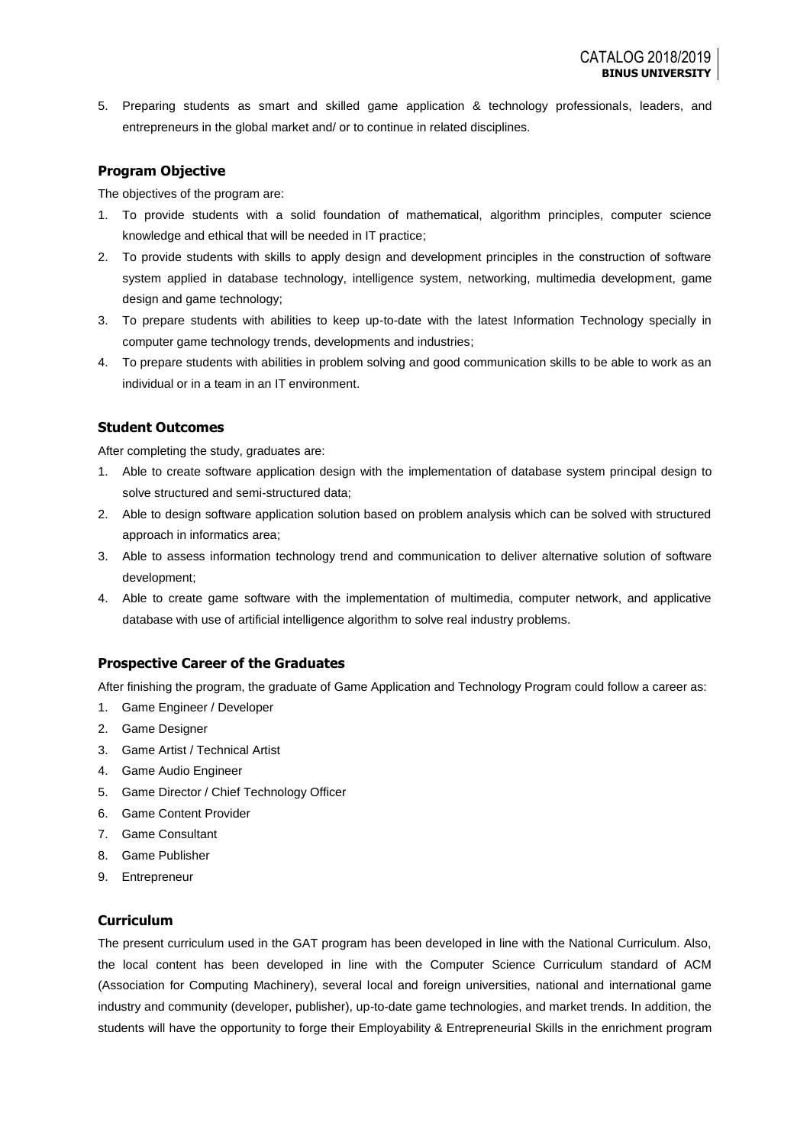5. Preparing students as smart and skilled game application & technology professionals, leaders, and entrepreneurs in the global market and/ or to continue in related disciplines.

## **Program Objective**

The objectives of the program are:

- 1. To provide students with a solid foundation of mathematical, algorithm principles, computer science knowledge and ethical that will be needed in IT practice;
- 2. To provide students with skills to apply design and development principles in the construction of software system applied in database technology, intelligence system, networking, multimedia development, game design and game technology;
- 3. To prepare students with abilities to keep up-to-date with the latest Information Technology specially in computer game technology trends, developments and industries;
- 4. To prepare students with abilities in problem solving and good communication skills to be able to work as an individual or in a team in an IT environment.

## **Student Outcomes**

After completing the study, graduates are:

- 1. Able to create software application design with the implementation of database system principal design to solve structured and semi-structured data;
- 2. Able to design software application solution based on problem analysis which can be solved with structured approach in informatics area;
- 3. Able to assess information technology trend and communication to deliver alternative solution of software development;
- 4. Able to create game software with the implementation of multimedia, computer network, and applicative database with use of artificial intelligence algorithm to solve real industry problems.

## **Prospective Career of the Graduates**

After finishing the program, the graduate of Game Application and Technology Program could follow a career as:

- 1. Game Engineer / Developer
- 2. Game Designer
- 3. Game Artist / Technical Artist
- 4. Game Audio Engineer
- 5. Game Director / Chief Technology Officer
- 6. Game Content Provider
- 7. Game Consultant
- 8. Game Publisher
- 9. Entrepreneur

## **Curriculum**

The present curriculum used in the GAT program has been developed in line with the National Curriculum. Also, the local content has been developed in line with the Computer Science Curriculum standard of ACM (Association for Computing Machinery), several local and foreign universities, national and international game industry and community (developer, publisher), up-to-date game technologies, and market trends. In addition, the students will have the opportunity to forge their Employability & Entrepreneurial Skills in the enrichment program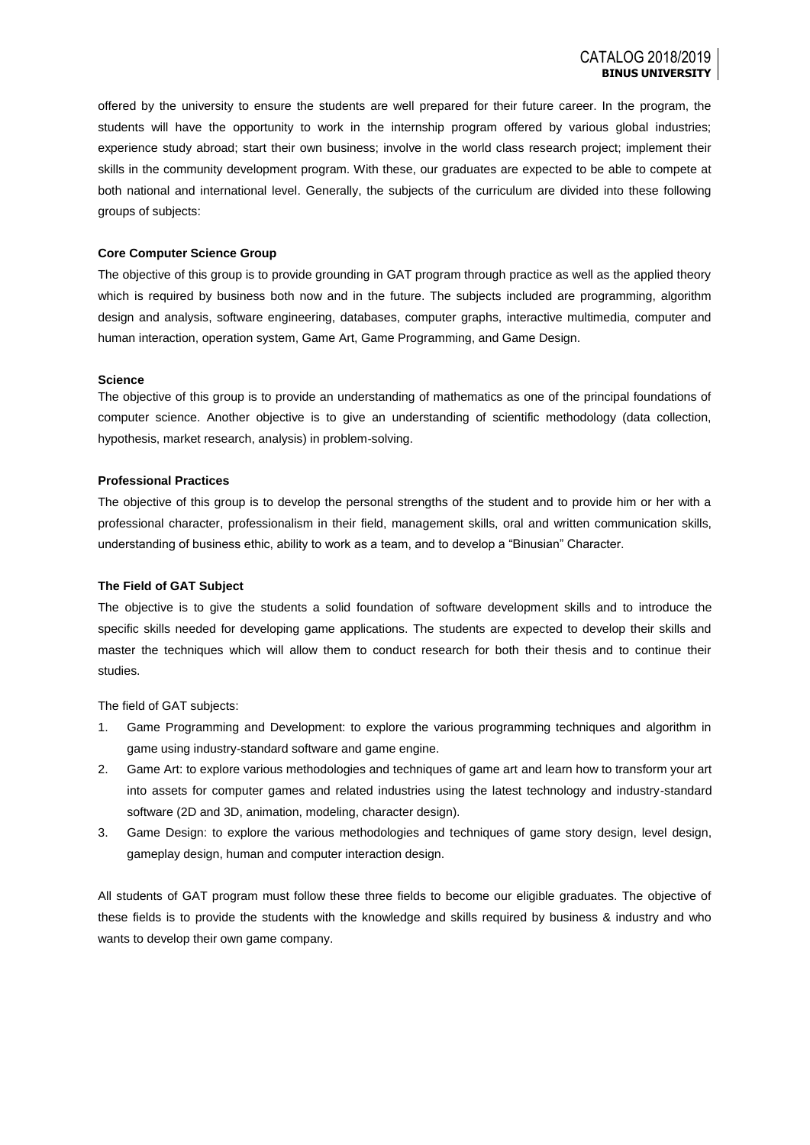offered by the university to ensure the students are well prepared for their future career. In the program, the students will have the opportunity to work in the internship program offered by various global industries; experience study abroad; start their own business; involve in the world class research project; implement their skills in the community development program. With these, our graduates are expected to be able to compete at both national and international level. Generally, the subjects of the curriculum are divided into these following groups of subjects:

#### **Core Computer Science Group**

The objective of this group is to provide grounding in GAT program through practice as well as the applied theory which is required by business both now and in the future. The subjects included are programming, algorithm design and analysis, software engineering, databases, computer graphs, interactive multimedia, computer and human interaction, operation system, Game Art, Game Programming, and Game Design.

#### **Science**

The objective of this group is to provide an understanding of mathematics as one of the principal foundations of computer science. Another objective is to give an understanding of scientific methodology (data collection, hypothesis, market research, analysis) in problem-solving.

#### **Professional Practices**

The objective of this group is to develop the personal strengths of the student and to provide him or her with a professional character, professionalism in their field, management skills, oral and written communication skills, understanding of business ethic, ability to work as a team, and to develop a "Binusian" Character.

#### **The Field of GAT Subject**

The objective is to give the students a solid foundation of software development skills and to introduce the specific skills needed for developing game applications. The students are expected to develop their skills and master the techniques which will allow them to conduct research for both their thesis and to continue their studies.

The field of GAT subjects:

- 1. Game Programming and Development: to explore the various programming techniques and algorithm in game using industry-standard software and game engine.
- 2. Game Art: to explore various methodologies and techniques of game art and learn how to transform your art into assets for computer games and related industries using the latest technology and industry-standard software (2D and 3D, animation, modeling, character design).
- 3. Game Design: to explore the various methodologies and techniques of game story design, level design, gameplay design, human and computer interaction design.

All students of GAT program must follow these three fields to become our eligible graduates. The objective of these fields is to provide the students with the knowledge and skills required by business & industry and who wants to develop their own game company.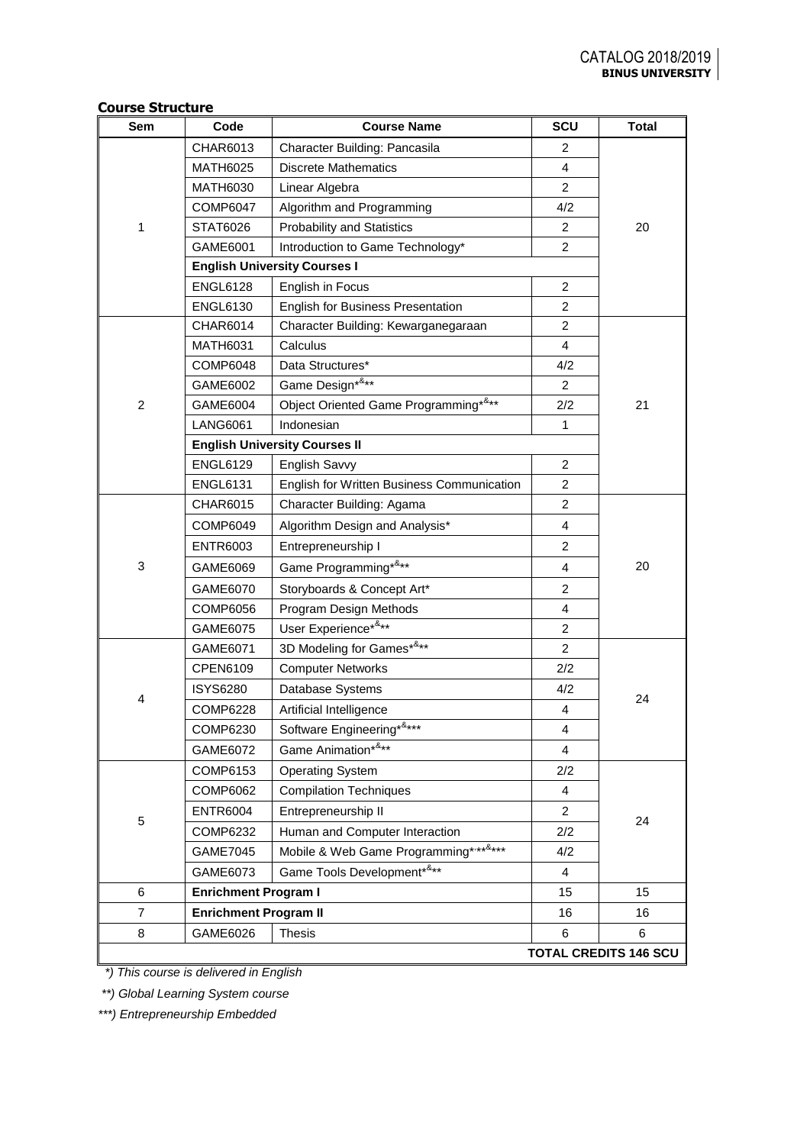| Sem            | Code                         | <b>Course Name</b>                         | SCU            | <b>Total</b>                 |  |
|----------------|------------------------------|--------------------------------------------|----------------|------------------------------|--|
|                | CHAR6013                     | Character Building: Pancasila              | $\overline{c}$ |                              |  |
|                | <b>MATH6025</b>              | <b>Discrete Mathematics</b>                | $\overline{4}$ |                              |  |
|                | <b>MATH6030</b>              | Linear Algebra                             | $\overline{2}$ |                              |  |
|                | <b>COMP6047</b>              | Algorithm and Programming                  | 4/2            |                              |  |
| 1              | STAT6026                     | <b>Probability and Statistics</b>          | $\overline{c}$ | 20                           |  |
|                | GAME6001                     | Introduction to Game Technology*           | $\overline{2}$ |                              |  |
|                |                              | <b>English University Courses I</b>        |                |                              |  |
|                | <b>ENGL6128</b>              | English in Focus                           | $\overline{c}$ |                              |  |
|                | <b>ENGL6130</b>              | <b>English for Business Presentation</b>   | $\overline{2}$ |                              |  |
|                | CHAR6014                     | Character Building: Kewarganegaraan        | $\overline{c}$ |                              |  |
|                | <b>MATH6031</b>              | Calculus                                   | 4              |                              |  |
|                | <b>COMP6048</b>              | Data Structures*                           | 4/2            |                              |  |
|                | GAME6002                     | Game Design* <sup>&amp;**</sup>            | $\overline{2}$ |                              |  |
| $\overline{c}$ | GAME6004                     | Object Oriented Game Programming*&**       | 2/2            | 21                           |  |
|                | <b>LANG6061</b>              | Indonesian                                 | $\mathbf{1}$   |                              |  |
|                |                              | <b>English University Courses II</b>       |                |                              |  |
|                | <b>ENGL6129</b>              | English Savvy                              | 2              |                              |  |
|                | <b>ENGL6131</b>              | English for Written Business Communication | $\overline{2}$ |                              |  |
|                | CHAR6015                     | Character Building: Agama                  | $\overline{c}$ |                              |  |
|                | COMP6049                     | Algorithm Design and Analysis*             | 4              |                              |  |
|                | <b>ENTR6003</b>              | Entrepreneurship I                         | $\overline{2}$ |                              |  |
| 3              | GAME6069                     | Game Programming*&**                       | $\overline{4}$ | 20                           |  |
|                | GAME6070                     | Storyboards & Concept Art*                 | $\overline{2}$ |                              |  |
|                | <b>COMP6056</b>              | Program Design Methods                     | 4              |                              |  |
|                | GAME6075                     | User Experience*&**                        | $\overline{2}$ |                              |  |
|                | GAME6071                     | 3D Modeling for Games*&**                  | $\overline{c}$ |                              |  |
|                | CPEN6109                     | <b>Computer Networks</b>                   | 2/2            |                              |  |
| 4              | <b>ISYS6280</b>              | Database Systems                           | 4/2            | 24                           |  |
|                | <b>COMP6228</b>              | Artificial Intelligence                    | 4              |                              |  |
|                | COMP6230                     | Software Engineering*&***                  | 4              |                              |  |
|                | GAME6072                     | Game Animation*&**                         | 4              |                              |  |
|                | COMP6153                     | <b>Operating System</b>                    | 2/2            |                              |  |
|                | COMP6062                     | <b>Compilation Techniques</b>              | 4              |                              |  |
|                | <b>ENTR6004</b>              | Entrepreneurship II                        | $\overline{2}$ |                              |  |
| 5              | <b>COMP6232</b>              | Human and Computer Interaction             | 2/2            | 24                           |  |
|                | GAME7045                     | Mobile & Web Game Programming********      | 4/2            |                              |  |
|                | GAME6073                     | Game Tools Development*&**                 | 4              |                              |  |
| 6              | <b>Enrichment Program I</b>  |                                            | 15             | 15                           |  |
| $\overline{7}$ | <b>Enrichment Program II</b> |                                            | 16             | 16                           |  |
| 8              | GAME6026                     | Thesis                                     | 6              | 6                            |  |
|                |                              |                                            |                | <b>TOTAL CREDITS 146 SCU</b> |  |

**Course Structure** 

 *\*) This course is delivered in English*

*\*\*) Global Learning System course*

*\*\*\*) Entrepreneurship Embedded*

L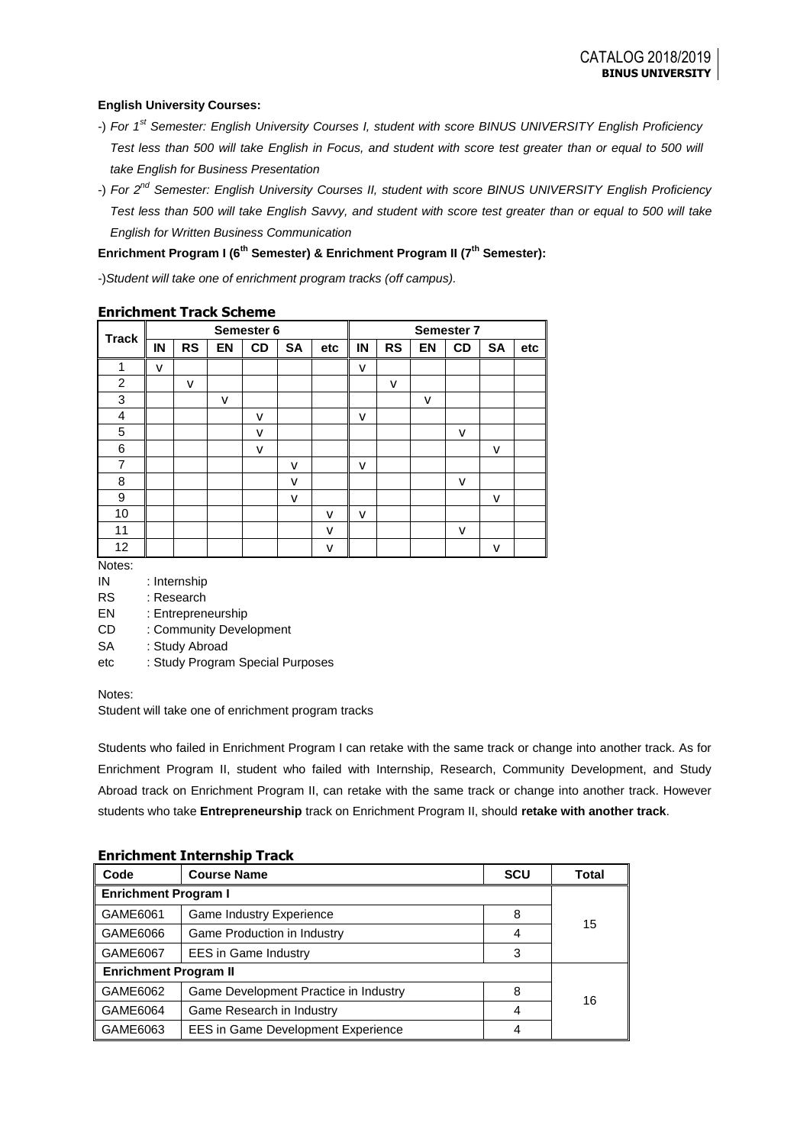## **English University Courses:**

- -) *For 1st Semester: English University Courses I, student with score BINUS UNIVERSITY English Proficiency*  Test less than 500 will take English in Focus, and student with score test greater than or equal to 500 will *take English for Business Presentation*
- -) *For 2nd Semester: English University Courses II, student with score BINUS UNIVERSITY English Proficiency Test less than 500 will take English Savvy, and student with score test greater than or equal to 500 will take English for Written Business Communication*

## **Enrichment Program I (6th Semester) & Enrichment Program II (7th Semester):**

-)*Student will take one of enrichment program tracks (off campus).*

|                |    |           |    | Semester 6 |           |     |    |           |           | Semester 7 |           |     |
|----------------|----|-----------|----|------------|-----------|-----|----|-----------|-----------|------------|-----------|-----|
| <b>Track</b>   | IN | <b>RS</b> | EN | <b>CD</b>  | <b>SA</b> | etc | IN | <b>RS</b> | <b>EN</b> | <b>CD</b>  | <b>SA</b> | etc |
| 1              | v  |           |    |            |           |     | v  |           |           |            |           |     |
| $\overline{2}$ |    | v         |    |            |           |     |    | v         |           |            |           |     |
| 3              |    |           | v  |            |           |     |    |           | v         |            |           |     |
| 4              |    |           |    | v          |           |     | v  |           |           |            |           |     |
| 5              |    |           |    | v          |           |     |    |           |           | v          |           |     |
| 6              |    |           |    | v          |           |     |    |           |           |            | ۷         |     |
| $\overline{7}$ |    |           |    |            | v         |     | v  |           |           |            |           |     |
| 8              |    |           |    |            | v         |     |    |           |           | v          |           |     |
| 9              |    |           |    |            | v         |     |    |           |           |            | ٧         |     |
| 10             |    |           |    |            |           | v   | v  |           |           |            |           |     |
| 11             |    |           |    |            |           | v   |    |           |           | v          |           |     |
| 12             |    |           |    |            |           | v   |    |           |           |            | ۷         |     |

## **Enrichment Track Scheme**

Notes:

- IN : Internship
- RS : Research

EN : Entrepreneurship

- CD : Community Development
- SA : Study Abroad
- etc : Study Program Special Purposes

Notes:

Student will take one of enrichment program tracks

Students who failed in Enrichment Program I can retake with the same track or change into another track. As for Enrichment Program II, student who failed with Internship, Research, Community Development, and Study Abroad track on Enrichment Program II, can retake with the same track or change into another track. However students who take **Entrepreneurship** track on Enrichment Program II, should **retake with another track**.

| EIII KIIIIEIIL IIIKEI IISIIIP TTACK |                                           |       |    |  |  |
|-------------------------------------|-------------------------------------------|-------|----|--|--|
| Code                                | <b>Course Name</b>                        | Total |    |  |  |
| <b>Enrichment Program I</b>         |                                           |       |    |  |  |
| GAME6061                            | <b>Game Industry Experience</b>           | 8     |    |  |  |
| GAME6066                            | Game Production in Industry               | 4     | 15 |  |  |
| GAME6067                            | <b>EES in Game Industry</b>               | 3     |    |  |  |
| <b>Enrichment Program II</b>        |                                           |       |    |  |  |
| GAME6062                            | Game Development Practice in Industry     | 8     |    |  |  |
| GAME6064                            | Game Research in Industry                 |       | 16 |  |  |
| GAME6063                            | <b>EES in Game Development Experience</b> |       |    |  |  |

## **Enrichment Internship Track**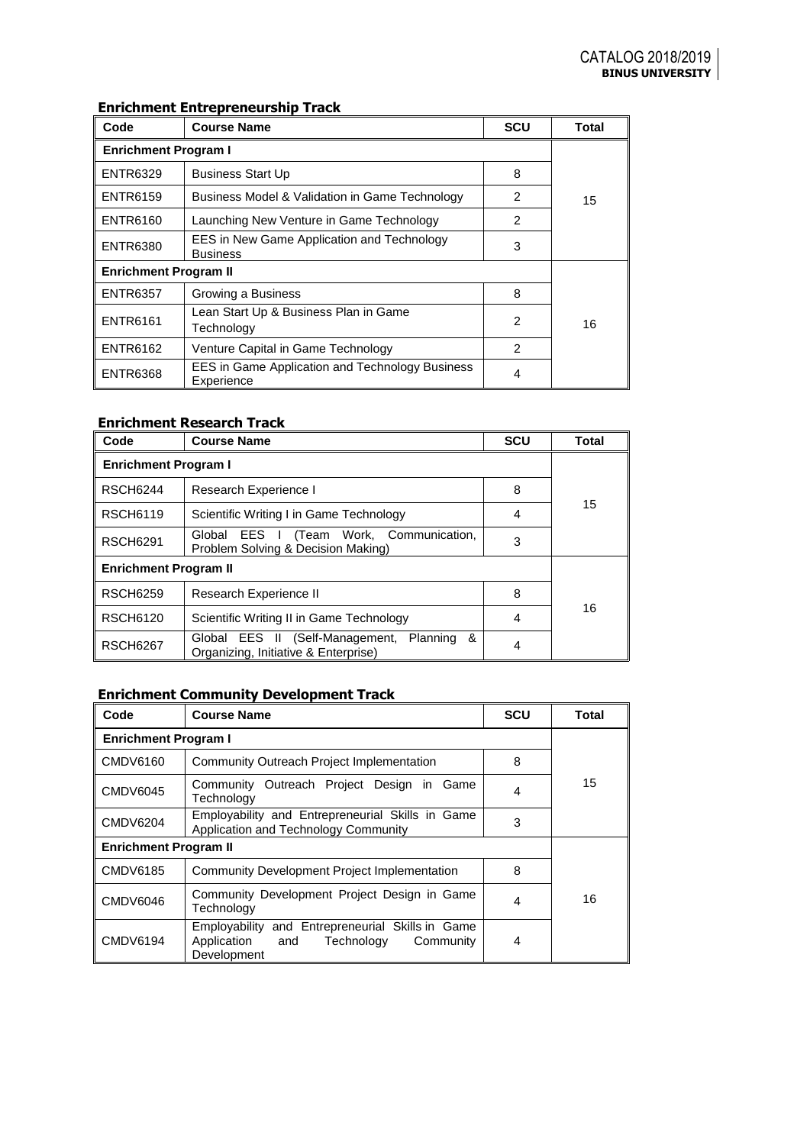# **Enrichment Entrepreneurship Track**

| Code                         | <b>Course Name</b>                                                   | <b>SCU</b>     | Total |  |
|------------------------------|----------------------------------------------------------------------|----------------|-------|--|
| <b>Enrichment Program I</b>  |                                                                      |                |       |  |
| <b>ENTR6329</b>              | <b>Business Start Up</b>                                             | 8              |       |  |
| <b>ENTR6159</b>              | Business Model & Validation in Game Technology                       | 2              | 15    |  |
| <b>ENTR6160</b>              | Launching New Venture in Game Technology                             | $\mathfrak{p}$ |       |  |
| <b>ENTR6380</b>              | EES in New Game Application and Technology<br><b>Business</b>        | 3              |       |  |
| <b>Enrichment Program II</b> |                                                                      |                |       |  |
| <b>ENTR6357</b>              | Growing a Business                                                   | 8              |       |  |
| <b>ENTR6161</b>              | Lean Start Up & Business Plan in Game<br>Technology                  | $\mathfrak{p}$ | 16    |  |
| <b>ENTR6162</b>              | Venture Capital in Game Technology                                   | $\mathfrak{p}$ |       |  |
| <b>ENTR6368</b>              | <b>EES in Game Application and Technology Business</b><br>Experience | 4              |       |  |

## **Enrichment Research Track**

| Code                         | <b>Course Name</b>                                                                    | <b>SCU</b> | Total |  |
|------------------------------|---------------------------------------------------------------------------------------|------------|-------|--|
| <b>Enrichment Program I</b>  |                                                                                       |            |       |  |
| <b>RSCH6244</b>              | Research Experience I                                                                 | 8          |       |  |
| <b>RSCH6119</b>              | Scientific Writing I in Game Technology                                               | 4          | 15    |  |
| <b>RSCH6291</b>              | Global EES I (Team Work, Communication,<br>Problem Solving & Decision Making)         | 3          |       |  |
| <b>Enrichment Program II</b> |                                                                                       |            |       |  |
| <b>RSCH6259</b>              | Research Experience II                                                                | 8          |       |  |
| <b>RSCH6120</b>              | Scientific Writing II in Game Technology                                              | 4          | 16    |  |
| <b>RSCH6267</b>              | Global EES II (Self-Management, Planning<br>&<br>Organizing, Initiative & Enterprise) |            |       |  |

# **Enrichment Community Development Track**

| Code                         | <b>Course Name</b>                                                                                               | <b>SCU</b> | Total |  |
|------------------------------|------------------------------------------------------------------------------------------------------------------|------------|-------|--|
| <b>Enrichment Program I</b>  |                                                                                                                  |            |       |  |
| <b>CMDV6160</b>              | Community Outreach Project Implementation                                                                        | 8          |       |  |
| <b>CMDV6045</b>              | Community Outreach Project Design in Game<br>Technology                                                          | 4          | 15    |  |
| <b>CMDV6204</b>              | Employability and Entrepreneurial Skills in Game<br>Application and Technology Community                         | 3          |       |  |
| <b>Enrichment Program II</b> |                                                                                                                  |            |       |  |
| <b>CMDV6185</b>              | Community Development Project Implementation                                                                     | 8          |       |  |
| <b>CMDV6046</b>              | Community Development Project Design in Game<br>Technology                                                       | 4          | 16    |  |
| <b>CMDV6194</b>              | Employability and Entrepreneurial Skills in Game<br>Application<br>Technology<br>Community<br>and<br>Development | 4          |       |  |